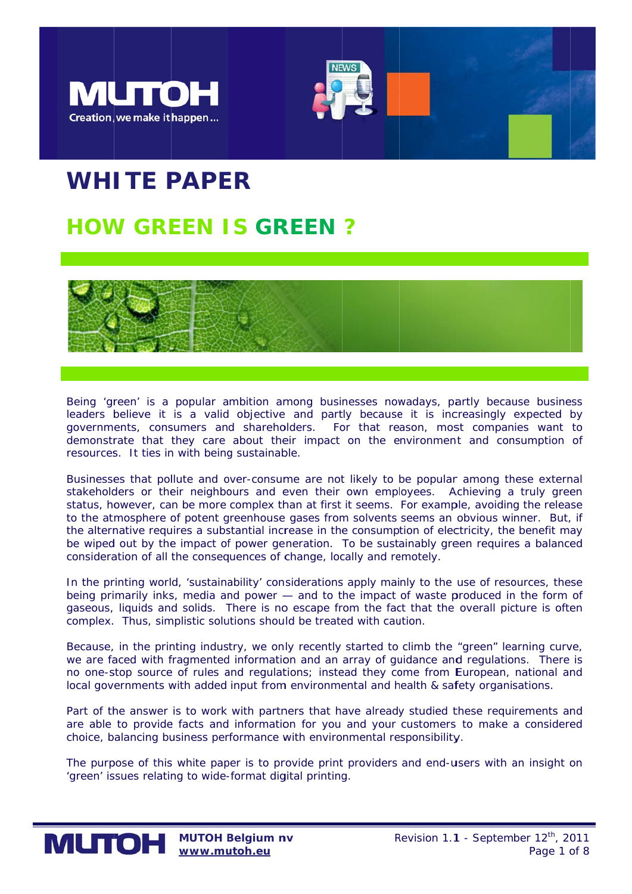



# WHITE PAPER

# **HOW GREEN IS GREEN ?**



Being 'green' is a popular ambition among businesses nowadays, partly because business leaders believe it is a valid objective and partly because it is increasingly expected by governments, consumers and shareholders. For that reason, most companies want to demonstrate that they care about their impact on the environment and consumption of resources. It ties in with being sustainable.

Businesses that pollute and over-consume are not likely to be popular among these external stakeholders or their neighbours and even their own employees. Achieving a truly green status, however, can be more complex than at first it seems. For example, avoiding the release to the atmosphere of potent greenhouse gases from solvents seems an obvious winner. But, if the alternative requires a substantial increase in the consumption of electricity, the benefit may be wiped out by the impact of power generation. To be sustainably green requires a balanced consideration of all the consequences of change, locally and remotely.

In the printing world, 'sustainability' considerations apply mainly to the use of resources, these being primarily inks, media and power - and to the impact of waste produced in the form of gaseous, liquids and solids. There is no escape from the fact that the overall picture is often complex. Thus, simplistic solutions should be treated with caution.

Because, in the printing industry, we only recently started to climb the "green" learning curve, we are faced with fragmented information and an array of guidance and regulations. There is no one-stop source of rules and regulations; instead they come from European, national and local governments with added input from environmental and health & safety organisations.

Part of the answer is to work with partners that have already studied these requirements and are able to provide facts and information for you and your customers to make a considered choice, balancing business performance with environmental responsibility.

The purpose of this white paper is to provide print providers and end-users with an insight on 'green' issues relating to wide-format digital printing.

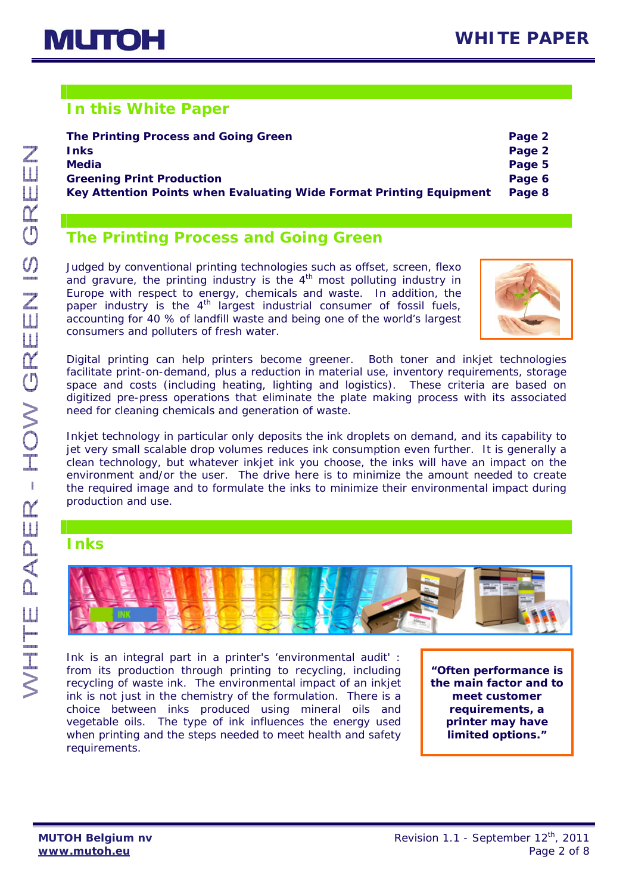# **In this White Paper**

| The Printing Process and Going Green                                | Page 2 |
|---------------------------------------------------------------------|--------|
| <b>Inks</b>                                                         | Page 2 |
| <b>Media</b>                                                        | Page 5 |
| <b>Greening Print Production</b>                                    | Page 6 |
| Key Attention Points when Evaluating Wide Format Printing Equipment | Page 8 |

# **The Printing Process and Going Green**

Judged by conventional printing technologies such as offset, screen, flexo and gravure, the printing industry is the  $4<sup>th</sup>$  most polluting industry in Europe with respect to energy, chemicals and waste. In addition, the paper industry is the  $4<sup>th</sup>$  largest industrial consumer of fossil fuels, accounting for 40 % of landfill waste and being one of the world's largest consumers and polluters of fresh water.



Digital printing can help printers become greener. Both toner and inkjet technologies facilitate print-on-demand, plus a reduction in material use, inventory requirements, storage space and costs (including heating, lighting and logistics). These criteria are based on digitized pre-press operations that eliminate the plate making process with its associated need for cleaning chemicals and generation of waste.

Inkjet technology in particular only deposits the ink droplets on demand, and its capability to jet very small scalable drop volumes reduces ink consumption even further. It is generally a clean technology, but whatever inkjet ink you choose, the inks will have an impact on the environment and/or the user. The drive here is to minimize the amount needed to create the required image and to formulate the inks to minimize their environmental impact during production and use.

## **Inks**



Ink is an integral part in a printer's 'environmental audit' : from its production through printing to recycling, including recycling of waste ink. The environmental impact of an inkjet ink is not just in the chemistry of the formulation. There is a choice between inks produced using mineral oils and vegetable oils. The type of ink influences the energy used when printing and the steps needed to meet health and safety requirements.

*"Often performance is the main factor and to meet customer requirements, a printer may have limited options."*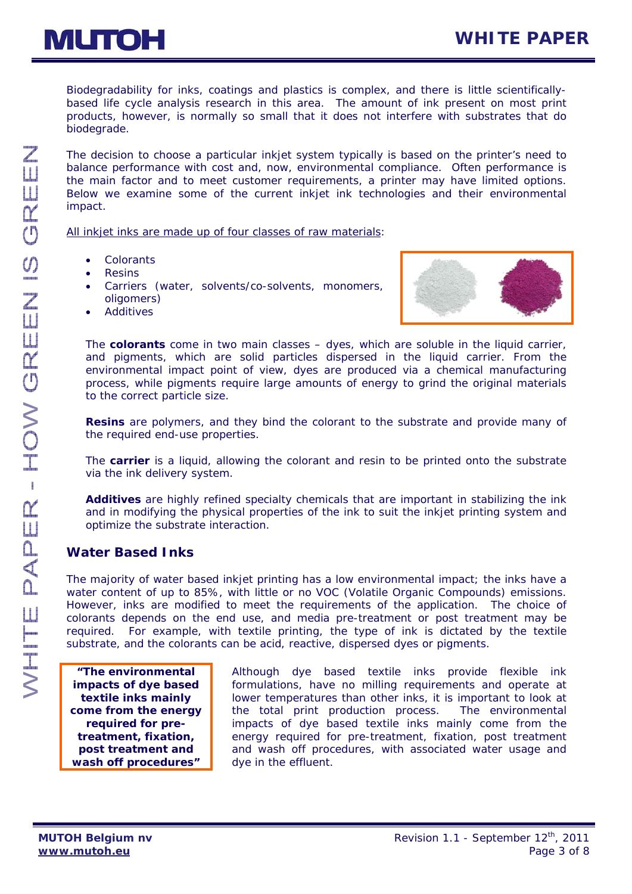Biodegradability for inks, coatings and plastics is complex, and there is little scientificallybased life cycle analysis research in this area. The amount of ink present on most print products, however, is normally so small that it does not interfere with substrates that do biodegrade.

The decision to choose a particular inkjet system typically is based on the printer's need to balance performance with cost and, now, environmental compliance. Often performance is the main factor and to meet customer requirements, a printer may have limited options. Below we examine some of the current inkjet ink technologies and their environmental impact.

All inkjet inks are made up of four classes of raw materials:

- *Colorants*
- *Resins*
- *Carriers* (water, solvents/co-solvents, monomers, oligomers)
- *Additives*



The *colorants* come in two main classes – dyes, which are soluble in the liquid carrier, and pigments, which are solid particles dispersed in the liquid carrier. From the environmental impact point of view, dyes are produced via a chemical manufacturing process, while pigments require large amounts of energy to grind the original materials to the correct particle size.

*Resins* are polymers, and they bind the colorant to the substrate and provide many of the required end-use properties.

The *carrier* is a liquid, allowing the colorant and resin to be printed onto the substrate via the ink delivery system.

*Additives* are highly refined specialty chemicals that are important in stabilizing the ink and in modifying the physical properties of the ink to suit the inkjet printing system and optimize the substrate interaction.

#### *Water Based Inks*

The majority of water based inkjet printing has a low environmental impact; the inks have a water content of up to 85%, with little or no VOC (Volatile Organic Compounds) emissions. However, inks are modified to meet the requirements of the application. The choice of colorants depends on the end use, and media pre-treatment or post treatment may be required. For example, with textile printing, the type of ink is dictated by the textile substrate, and the colorants can be acid, reactive, dispersed dyes or pigments.

*"The environmental impacts of dye based textile inks mainly come from the energy required for pretreatment, fixation, post treatment and wash off procedures"* 

 Although dye based textile inks provide flexible ink formulations, have no milling requirements and operate at lower temperatures than other inks, it is important to look at the total print production process. The environmental impacts of dye based textile inks mainly come from the energy required for pre-treatment, fixation, post treatment and wash off procedures, with associated water usage and dye in the effluent.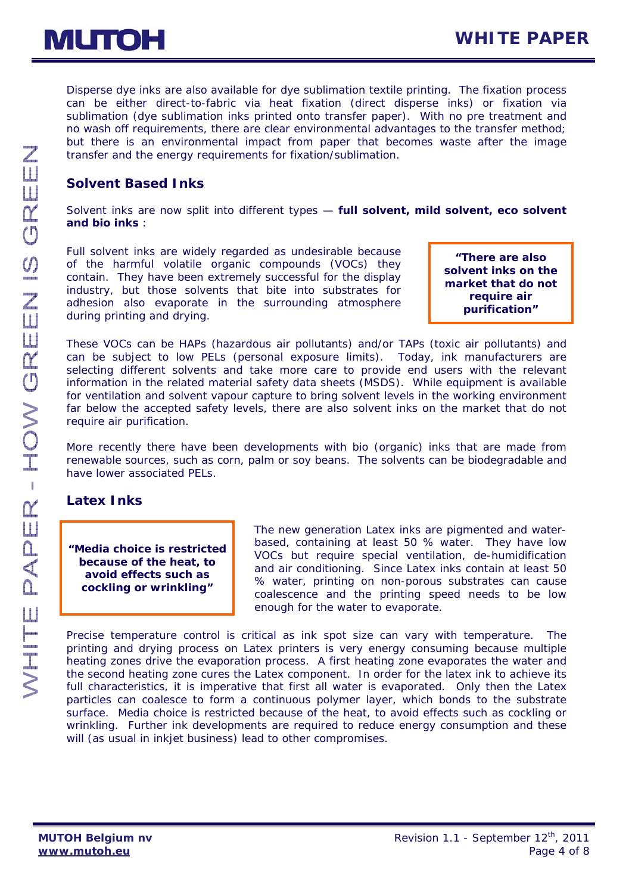Disperse dye inks are also available for dye sublimation textile printing. The fixation process can be either direct-to-fabric via heat fixation (direct disperse inks) or fixation via sublimation (dye sublimation inks printed onto transfer paper). With no pre treatment and no wash off requirements, there are clear environmental advantages to the transfer method; but there is an environmental impact from paper that becomes waste after the image transfer and the energy requirements for fixation/sublimation.

### *Solvent Based Inks*

Solvent inks are now split into different types — *full solvent, mild solvent, eco solvent and bio inks :* 

Full solvent inks are widely regarded as undesirable because of the harmful volatile organic compounds (VOCs) they contain. They have been extremely successful for the display industry, but those solvents that bite into substrates for adhesion also evaporate in the surrounding atmosphere during printing and drying.

*"There are also solvent inks on the market that do not require air purification"* 

These VOCs can be HAPs (hazardous air pollutants) and/or TAPs (toxic air pollutants) and can be subject to low PELs (personal exposure limits). Today, ink manufacturers are selecting different solvents and take more care to provide end users with the relevant information in the related material safety data sheets (MSDS). While equipment is available for ventilation and solvent vapour capture to bring solvent levels in the working environment far below the accepted safety levels, there are also solvent inks on the market that do not require air purification.

More recently there have been developments with bio (organic) inks that are made from renewable sources, such as corn, palm or soy beans. The solvents can be biodegradable and have lower associated PELs.

#### *Latex Inks*

*"Media choice is restricted because of the heat, to avoid effects such as cockling or wrinkling"* 

 The new generation Latex inks are pigmented and waterbased, containing at least 50 % water. They have low VOCs but require special ventilation, de-humidification and air conditioning. Since Latex inks contain at least 50 % water, printing on non-porous substrates can cause coalescence and the printing speed needs to be low enough for the water to evaporate.

Precise temperature control is critical as ink spot size can vary with temperature. The printing and drying process on Latex printers is very energy consuming because multiple heating zones drive the evaporation process. A first heating zone evaporates the water and the second heating zone cures the Latex component. In order for the latex ink to achieve its full characteristics, it is imperative that first all water is evaporated. Only then the Latex particles can coalesce to form a continuous polymer layer, which bonds to the substrate surface. Media choice is restricted because of the heat, to avoid effects such as cockling or wrinkling. Further ink developments are required to reduce energy consumption and these will (as usual in inkjet business) lead to other compromises.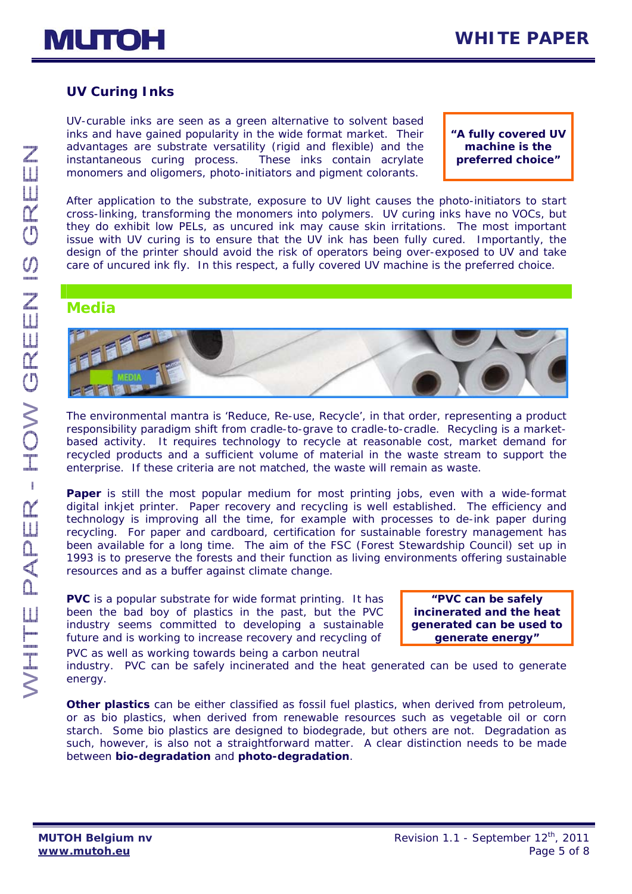## *UV Curing Inks*

UV-curable inks are seen as a green alternative to solvent based inks and have gained popularity in the wide format market. Their advantages are substrate versatility (rigid and flexible) and the instantaneous curing process. These inks contain acrylate monomers and oligomers, photo-initiators and pigment colorants.

*"A fully covered UV machine is the preferred choice"* 

After application to the substrate, exposure to UV light causes the photo-initiators to start cross-linking, transforming the monomers into polymers. UV curing inks have no VOCs, but they do exhibit low PELs, as uncured ink may cause skin irritations. The most important issue with UV curing is to ensure that the UV ink has been fully cured. Importantly, the design of the printer should avoid the risk of operators being over-exposed to UV and take care of uncured ink fly. In this respect, a fully covered UV machine is the preferred choice.

### **Media**



The environmental mantra is 'Reduce, Re-use, Recycle', in that order, representing a product responsibility paradigm shift from cradle-to-grave to cradle-to-cradle. Recycling is a marketbased activity. It requires technology to recycle at reasonable cost, market demand for recycled products and a sufficient volume of material in the waste stream to support the enterprise. If these criteria are not matched, the waste will remain as waste.

**Paper** is still the most popular medium for most printing jobs, even with a wide-format digital inkjet printer. Paper recovery and recycling is well established. The efficiency and technology is improving all the time, for example with processes to de-ink paper during recycling. For paper and cardboard, certification for sustainable forestry management has been available for a long time. The aim of the FSC (Forest Stewardship Council) set up in 1993 is to preserve the forests and their function as living environments offering sustainable resources and as a buffer against climate change.

**PVC** is a popular substrate for wide format printing. It has been the bad boy of plastics in the past, but the PVC industry seems committed to developing a sustainable future and is working to increase recovery and recycling of PVC as well as working towards being a carbon neutral

*"PVC can be safely incinerated and the heat generated can be used to generate energy"* 

industry. PVC can be safely incinerated and the heat generated can be used to generate energy.

**Other plastics** can be either classified as *fossil fuel plastics*, when derived from petroleum, or as *bio plastics*, when derived from renewable resources such as vegetable oil or corn starch. Some bio plastics are designed to biodegrade, but others are not. Degradation as such, however, is also not a straightforward matter. A clear distinction needs to be made between *bio-degradation* and *photo-degradation*.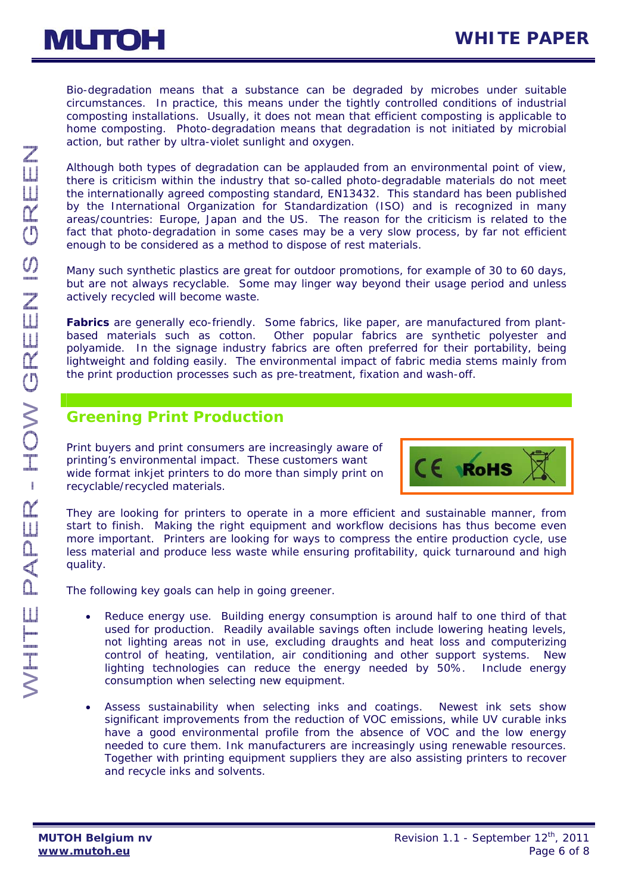

Bio-degradation means that a substance can be degraded by microbes under suitable circumstances. In practice, this means under the tightly controlled conditions of industrial composting installations. Usually, it does not mean that efficient composting is applicable to home composting. Photo-degradation means that degradation is not initiated by microbial action, but rather by ultra-violet sunlight and oxygen.

Although both types of degradation can be applauded from an environmental point of view, there is criticism within the industry that so-called photo-degradable materials do not meet the internationally agreed composting standard, EN13432. This standard has been published by the International Organization for Standardization (ISO) and is recognized in many areas/countries: Europe, Japan and the US. The reason for the criticism is related to the fact that photo-degradation in some cases may be a very slow process, by far not efficient enough to be considered as a method to dispose of rest materials.

Many such synthetic plastics are great for outdoor promotions, for example of 30 to 60 days, but are not always recyclable. Some may linger way beyond their usage period and unless actively recycled will become waste.

**Fabrics** are generally eco-friendly. Some fabrics, like paper, are manufactured from plantbased materials such as cotton. Other popular fabrics are synthetic polyester and polyamide. In the signage industry fabrics are often preferred for their portability, being lightweight and folding easily. The environmental impact of fabric media stems mainly from the print production processes such as pre-treatment, fixation and wash-off.

# **Greening Print Production**

Print buyers and print consumers are increasingly aware of printing's environmental impact. These customers want wide format inkiet printers to do more than simply print on recyclable/recycled materials.



They are looking for printers to operate in a more efficient and sustainable manner, from start to finish. Making the right equipment and workflow decisions has thus become even more important. Printers are looking for ways to compress the entire production cycle, use less material and produce less waste while ensuring profitability, quick turnaround and high quality.

The following key goals can help in going greener.

- Reduce energy use. Building energy consumption is around half to one third of that used for production. Readily available savings often include lowering heating levels, not lighting areas not in use, excluding draughts and heat loss and computerizing control of heating, ventilation, air conditioning and other support systems. New lighting technologies can reduce the energy needed by 50%. Include energy consumption when selecting new equipment.
- Assess sustainability when selecting inks and coatings. Newest ink sets show significant improvements from the reduction of VOC emissions, while UV curable inks have a good environmental profile from the absence of VOC and the low energy needed to cure them. Ink manufacturers are increasingly using renewable resources. Together with printing equipment suppliers they are also assisting printers to recover and recycle inks and solvents.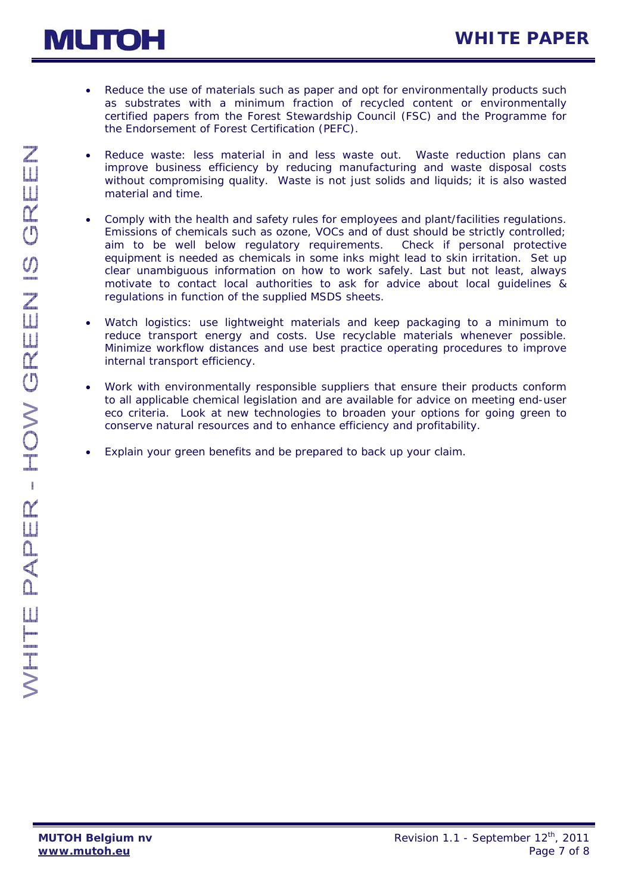



- Reduce the use of materials such as paper and opt for environmentally products such as substrates with a minimum fraction of recycled content or environmentally certified papers from the Forest Stewardship Council (FSC) and the Programme for the Endorsement of Forest Certification (PEFC).
- Reduce waste: less material in and less waste out. Waste reduction plans can improve business efficiency by reducing manufacturing and waste disposal costs without compromising quality. Waste is not just solids and liquids; it is also wasted material and time.
- Comply with the health and safety rules for employees and plant/facilities regulations. Emissions of chemicals such as ozone, VOCs and of dust should be strictly controlled; aim to be well below regulatory requirements. Check if personal protective equipment is needed as chemicals in some inks might lead to skin irritation. Set up clear unambiguous information on how to work safely. Last but not least, always motivate to contact local authorities to ask for advice about local guidelines & regulations in function of the supplied MSDS sheets.
- Watch logistics: use lightweight materials and keep packaging to a minimum to reduce transport energy and costs. Use recyclable materials whenever possible. Minimize workflow distances and use best practice operating procedures to improve internal transport efficiency.
- Work with environmentally responsible suppliers that ensure their products conform to all applicable chemical legislation and are available for advice on meeting end-user eco criteria. Look at new technologies to broaden your options for going green to conserve natural resources and to enhance efficiency and profitability.
- Explain your green benefits and be prepared to back up your claim.